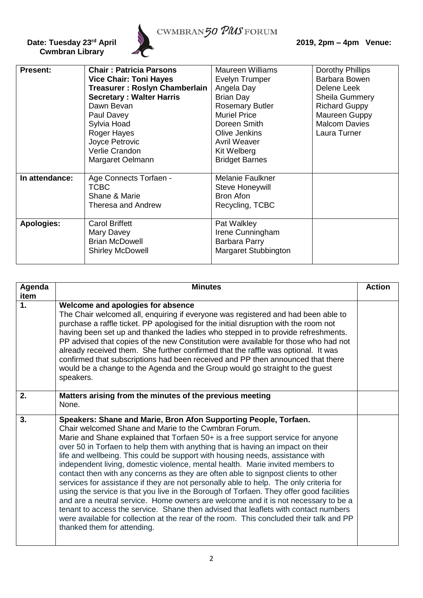

CWMBRAN50 PMS FORUM

| <b>Present:</b>   | <b>Chair: Patricia Parsons</b>       | Maureen Williams       | Dorothy Phillips      |
|-------------------|--------------------------------------|------------------------|-----------------------|
|                   | <b>Vice Chair: Toni Hayes</b>        | Evelyn Trumper         | Barbara Bowen         |
|                   | <b>Treasurer: Roslyn Chamberlain</b> | Angela Day             | Delene Leek           |
|                   | <b>Secretary: Walter Harris</b>      | <b>Brian Day</b>       | <b>Sheila Gummery</b> |
|                   | Dawn Bevan                           | <b>Rosemary Butler</b> | <b>Richard Guppy</b>  |
|                   | Paul Davey                           | <b>Muriel Price</b>    | Maureen Guppy         |
|                   | Sylvia Hoad                          | Doreen Smith           | <b>Malcom Davies</b>  |
|                   | Roger Hayes                          | Olive Jenkins          | Laura Turner          |
|                   | Joyce Petrovic                       | Avril Weaver           |                       |
|                   | Verlie Crandon                       | Kit Welberg            |                       |
|                   | Margaret Oelmann                     | <b>Bridget Barnes</b>  |                       |
|                   |                                      |                        |                       |
| In attendance:    | Age Connects Torfaen -               | Melanie Faulkner       |                       |
|                   | <b>TCBC</b>                          | Steve Honeywill        |                       |
|                   | Shane & Marie                        | Bron Afon              |                       |
|                   | Theresa and Andrew                   | Recycling, TCBC        |                       |
|                   |                                      |                        |                       |
| <b>Apologies:</b> | <b>Carol Briffett</b>                | Pat Walkley            |                       |
|                   | Mary Davey                           | Irene Cunningham       |                       |
|                   | <b>Brian McDowell</b>                | Barbara Parry          |                       |
|                   | <b>Shirley McDowell</b>              | Margaret Stubbington   |                       |
|                   |                                      |                        |                       |

| Agenda<br>item | <b>Minutes</b>                                                                                                                                                                                                                                                                                                                                                                                                                                                                                                                                                                                                                                                                                                                                                                                                                                                                                                                                                                                                                                       | <b>Action</b> |
|----------------|------------------------------------------------------------------------------------------------------------------------------------------------------------------------------------------------------------------------------------------------------------------------------------------------------------------------------------------------------------------------------------------------------------------------------------------------------------------------------------------------------------------------------------------------------------------------------------------------------------------------------------------------------------------------------------------------------------------------------------------------------------------------------------------------------------------------------------------------------------------------------------------------------------------------------------------------------------------------------------------------------------------------------------------------------|---------------|
| $\mathbf 1$ .  | Welcome and apologies for absence<br>The Chair welcomed all, enquiring if everyone was registered and had been able to<br>purchase a raffle ticket. PP apologised for the initial disruption with the room not<br>having been set up and thanked the ladies who stepped in to provide refreshments.<br>PP advised that copies of the new Constitution were available for those who had not<br>already received them. She further confirmed that the raffle was optional. It was<br>confirmed that subscriptions had been received and PP then announced that there<br>would be a change to the Agenda and the Group would go straight to the guest<br>speakers.                                                                                                                                                                                                                                                                                                                                                                                      |               |
| 2.             | Matters arising from the minutes of the previous meeting<br>None.                                                                                                                                                                                                                                                                                                                                                                                                                                                                                                                                                                                                                                                                                                                                                                                                                                                                                                                                                                                    |               |
| 3.             | Speakers: Shane and Marie, Bron Afon Supporting People, Torfaen.<br>Chair welcomed Shane and Marie to the Cwmbran Forum.<br>Marie and Shane explained that Torfaen 50+ is a free support service for anyone<br>over 50 in Torfaen to help them with anything that is having an impact on their<br>life and wellbeing. This could be support with housing needs, assistance with<br>independent living, domestic violence, mental health. Marie invited members to<br>contact then with any concerns as they are often able to signpost clients to other<br>services for assistance if they are not personally able to help. The only criteria for<br>using the service is that you live in the Borough of Torfaen. They offer good facilities<br>and are a neutral service. Home owners are welcome and it is not necessary to be a<br>tenant to access the service. Shane then advised that leaflets with contact numbers<br>were available for collection at the rear of the room. This concluded their talk and PP<br>thanked them for attending. |               |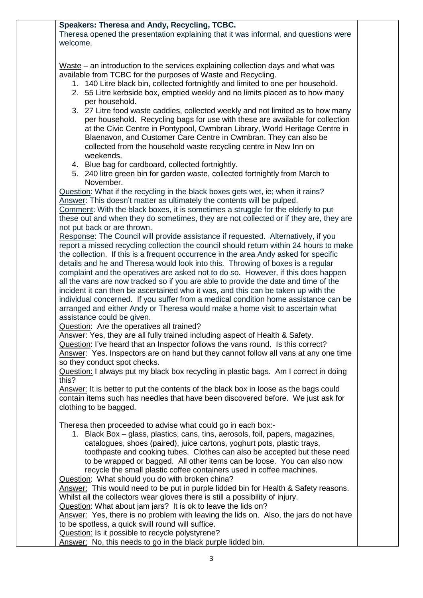## **Speakers: Theresa and Andy, Recycling, TCBC.**

Theresa opened the presentation explaining that it was informal, and questions were welcome.

Waste – an introduction to the services explaining collection days and what was available from TCBC for the purposes of Waste and Recycling.

- 1. 140 Litre black bin, collected fortnightly and limited to one per household.
- 2. 55 Litre kerbside box, emptied weekly and no limits placed as to how many per household.
- 3. 27 Litre food waste caddies, collected weekly and not limited as to how many per household. Recycling bags for use with these are available for collection at the Civic Centre in Pontypool, Cwmbran Library, World Heritage Centre in Blaenavon, and Customer Care Centre in Cwmbran. They can also be collected from the household waste recycling centre in New Inn on weekends.
- 4. Blue bag for cardboard, collected fortnightly.
- 5. 240 litre green bin for garden waste, collected fortnightly from March to November.

Question: What if the recycling in the black boxes gets wet, ie; when it rains? Answer: This doesn't matter as ultimately the contents will be pulped. Comment: With the black boxes, it is sometimes a struggle for the elderly to put these out and when they do sometimes, they are not collected or if they are, they are

not put back or are thrown.

Response: The Council will provide assistance if requested. Alternatively, if you report a missed recycling collection the council should return within 24 hours to make the collection. If this is a frequent occurrence in the area Andy asked for specific details and he and Theresa would look into this. Throwing of boxes is a regular complaint and the operatives are asked not to do so. However, if this does happen all the vans are now tracked so if you are able to provide the date and time of the incident it can then be ascertained who it was, and this can be taken up with the individual concerned. If you suffer from a medical condition home assistance can be arranged and either Andy or Theresa would make a home visit to ascertain what assistance could be given.

Question: Are the operatives all trained?

Answer: Yes, they are all fully trained including aspect of Health & Safety.

Question: I've heard that an Inspector follows the vans round. Is this correct? Answer: Yes. Inspectors are on hand but they cannot follow all vans at any one time so they conduct spot checks.

Question: I always put my black box recycling in plastic bags. Am I correct in doing this?

Answer: It is better to put the contents of the black box in loose as the bags could contain items such has needles that have been discovered before. We just ask for clothing to be bagged.

Theresa then proceeded to advise what could go in each box:-

1. Black Box – glass, plastics, cans, tins, aerosols, foil, papers, magazines, catalogues, shoes (paired), juice cartons, yoghurt pots, plastic trays, toothpaste and cooking tubes. Clothes can also be accepted but these need to be wrapped or bagged. All other items can be loose. You can also now recycle the small plastic coffee containers used in coffee machines.

Question: What should you do with broken china?

Answer: This would need to be put in purple lidded bin for Health & Safety reasons. Whilst all the collectors wear gloves there is still a possibility of injury.

Question: What about jam jars? It is ok to leave the lids on?

Answer: Yes, there is no problem with leaving the lids on. Also, the jars do not have to be spotless, a quick swill round will suffice.

Question: Is it possible to recycle polystyrene?

Answer: No, this needs to go in the black purple lidded bin.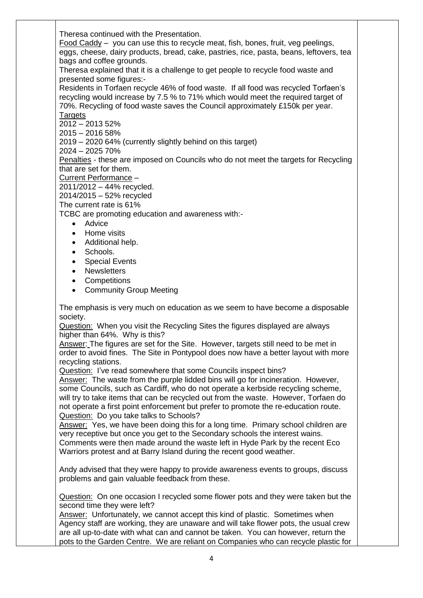Theresa continued with the Presentation.

Food Caddy – you can use this to recycle meat, fish, bones, fruit, veg peelings, eggs, cheese, dairy products, bread, cake, pastries, rice, pasta, beans, leftovers, tea bags and coffee grounds.

Theresa explained that it is a challenge to get people to recycle food waste and presented some figures:-

Residents in Torfaen recycle 46% of food waste. If all food was recycled Torfaen's recycling would increase by 7.5 % to 71% which would meet the required target of 70%. Recycling of food waste saves the Council approximately £150k per year. **Targets** 

 $2012 - 201352%$ 

2015 – 2016 58%

2019 – 2020 64% (currently slightly behind on this target)

2024 – 2025 70%

Penalties - these are imposed on Councils who do not meet the targets for Recycling that are set for them.

Current Performance –

2011/2012 – 44% recycled.

2014/2015 – 52% recycled

The current rate is 61%

TCBC are promoting education and awareness with:-

- Advice
- Home visits
- Additional help.
- Schools.
- Special Events
- Newsletters
- **Competitions**
- Community Group Meeting

The emphasis is very much on education as we seem to have become a disposable society.

Question: When you visit the Recycling Sites the figures displayed are always higher than 64%. Why is this?

Answer: The figures are set for the Site. However, targets still need to be met in order to avoid fines. The Site in Pontypool does now have a better layout with more recycling stations.

Question: I've read somewhere that some Councils inspect bins?

Answer: The waste from the purple lidded bins will go for incineration. However, some Councils, such as Cardiff, who do not operate a kerbside recycling scheme, will try to take items that can be recycled out from the waste. However, Torfaen do not operate a first point enforcement but prefer to promote the re-education route. Question: Do you take talks to Schools?

Answer: Yes, we have been doing this for a long time. Primary school children are very receptive but once you get to the Secondary schools the interest wains. Comments were then made around the waste left in Hyde Park by the recent Eco Warriors protest and at Barry Island during the recent good weather.

Andy advised that they were happy to provide awareness events to groups, discuss problems and gain valuable feedback from these.

Question: On one occasion I recycled some flower pots and they were taken but the second time they were left?

Answer: Unfortunately, we cannot accept this kind of plastic. Sometimes when Agency staff are working, they are unaware and will take flower pots, the usual crew are all up-to-date with what can and cannot be taken. You can however, return the pots to the Garden Centre. We are reliant on Companies who can recycle plastic for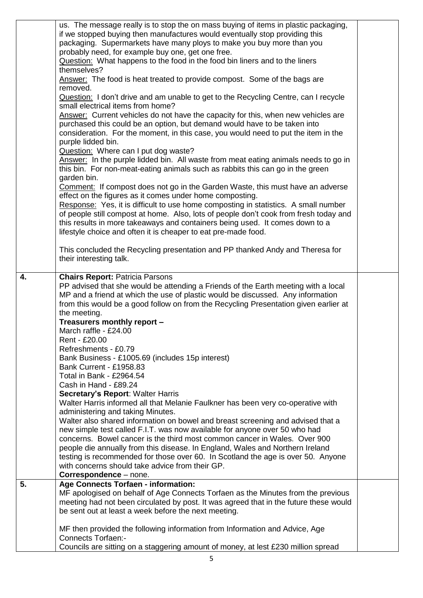|                  | us. The message really is to stop the on mass buying of items in plastic packaging,<br>if we stopped buying then manufactures would eventually stop providing this<br>packaging. Supermarkets have many ploys to make you buy more than you<br>probably need, for example buy one, get one free.<br>Question: What happens to the food in the food bin liners and to the liners<br>themselves?<br>Answer: The food is heat treated to provide compost. Some of the bags are<br>removed.<br>Question: I don't drive and am unable to get to the Recycling Centre, can I recycle<br>small electrical items from home?<br>Answer: Current vehicles do not have the capacity for this, when new vehicles are<br>purchased this could be an option, but demand would have to be taken into<br>consideration. For the moment, in this case, you would need to put the item in the<br>purple lidded bin.<br>Question: Where can I put dog waste?<br>Answer: In the purple lidded bin. All waste from meat eating animals needs to go in<br>this bin. For non-meat-eating animals such as rabbits this can go in the green<br>garden bin.<br>Comment: If compost does not go in the Garden Waste, this must have an adverse<br>effect on the figures as it comes under home composting.<br>Response: Yes, it is difficult to use home composting in statistics. A small number<br>of people still compost at home. Also, lots of people don't cook from fresh today and<br>this results in more takeaways and containers being used. It comes down to a<br>lifestyle choice and often it is cheaper to eat pre-made food.<br>This concluded the Recycling presentation and PP thanked Andy and Theresa for<br>their interesting talk. |  |
|------------------|-------------------------------------------------------------------------------------------------------------------------------------------------------------------------------------------------------------------------------------------------------------------------------------------------------------------------------------------------------------------------------------------------------------------------------------------------------------------------------------------------------------------------------------------------------------------------------------------------------------------------------------------------------------------------------------------------------------------------------------------------------------------------------------------------------------------------------------------------------------------------------------------------------------------------------------------------------------------------------------------------------------------------------------------------------------------------------------------------------------------------------------------------------------------------------------------------------------------------------------------------------------------------------------------------------------------------------------------------------------------------------------------------------------------------------------------------------------------------------------------------------------------------------------------------------------------------------------------------------------------------------------------------------------------------------------------------------------------------------|--|
| $\overline{4}$ . | <b>Chairs Report: Patricia Parsons</b><br>PP advised that she would be attending a Friends of the Earth meeting with a local<br>MP and a friend at which the use of plastic would be discussed. Any information<br>from this would be a good follow on from the Recycling Presentation given earlier at<br>the meeting.<br>Treasurers monthly report -<br>March raffle - £24.00<br>Rent - £20.00<br>Refreshments - £0.79<br>Bank Business - £1005.69 (includes 15p interest)<br><b>Bank Current - £1958.83</b><br>Total in Bank - £2964.54<br>Cash in Hand - £89.24<br><b>Secretary's Report: Walter Harris</b><br>Walter Harris informed all that Melanie Faulkner has been very co-operative with<br>administering and taking Minutes.<br>Walter also shared information on bowel and breast screening and advised that a<br>new simple test called F.I.T. was now available for anyone over 50 who had<br>concerns. Bowel cancer is the third most common cancer in Wales. Over 900<br>people die annually from this disease. In England, Wales and Northern Ireland<br>testing is recommended for those over 60. In Scotland the age is over 50. Anyone<br>with concerns should take advice from their GP.<br>Correspondence - none.                                                                                                                                                                                                                                                                                                                                                                                                                                                                                      |  |
| 5.               | <b>Age Connects Torfaen - information:</b><br>MF apologised on behalf of Age Connects Torfaen as the Minutes from the previous<br>meeting had not been circulated by post. It was agreed that in the future these would<br>be sent out at least a week before the next meeting.<br>MF then provided the following information from Information and Advice, Age<br><b>Connects Torfaen:-</b>                                                                                                                                                                                                                                                                                                                                                                                                                                                                                                                                                                                                                                                                                                                                                                                                                                                                                                                                                                                                                                                                                                                                                                                                                                                                                                                                   |  |
|                  | Councils are sitting on a staggering amount of money, at lest £230 million spread                                                                                                                                                                                                                                                                                                                                                                                                                                                                                                                                                                                                                                                                                                                                                                                                                                                                                                                                                                                                                                                                                                                                                                                                                                                                                                                                                                                                                                                                                                                                                                                                                                             |  |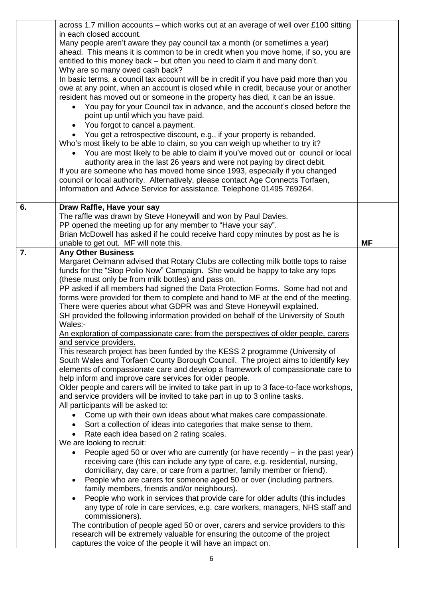|    | across 1.7 million accounts – which works out at an average of well over £100 sitting<br>in each closed account.<br>Many people aren't aware they pay council tax a month (or sometimes a year)<br>ahead. This means it is common to be in credit when you move home, if so, you are<br>entitled to this money back – but often you need to claim it and many don't.<br>Why are so many owed cash back?<br>In basic terms, a council tax account will be in credit if you have paid more than you<br>owe at any point, when an account is closed while in credit, because your or another<br>resident has moved out or someone in the property has died, it can be an issue.<br>You pay for your Council tax in advance, and the account's closed before the<br>point up until which you have paid.<br>• You forgot to cancel a payment.<br>You get a retrospective discount, e.g., if your property is rebanded.<br>Who's most likely to be able to claim, so you can weigh up whether to try it?<br>• You are most likely to be able to claim if you've moved out or council or local<br>authority area in the last 26 years and were not paying by direct debit.<br>If you are someone who has moved home since 1993, especially if you changed<br>council or local authority. Alternatively, please contact Age Connects Torfaen,<br>Information and Advice Service for assistance. Telephone 01495 769264.                                                                                                                                                                                                                                                                                                                                                                                                                                                                                                                                                                                                                                                                                                                                                  |           |
|----|------------------------------------------------------------------------------------------------------------------------------------------------------------------------------------------------------------------------------------------------------------------------------------------------------------------------------------------------------------------------------------------------------------------------------------------------------------------------------------------------------------------------------------------------------------------------------------------------------------------------------------------------------------------------------------------------------------------------------------------------------------------------------------------------------------------------------------------------------------------------------------------------------------------------------------------------------------------------------------------------------------------------------------------------------------------------------------------------------------------------------------------------------------------------------------------------------------------------------------------------------------------------------------------------------------------------------------------------------------------------------------------------------------------------------------------------------------------------------------------------------------------------------------------------------------------------------------------------------------------------------------------------------------------------------------------------------------------------------------------------------------------------------------------------------------------------------------------------------------------------------------------------------------------------------------------------------------------------------------------------------------------------------------------------------------------------------------------------------------------------------------------------------------------|-----------|
| 6. | Draw Raffle, Have your say<br>The raffle was drawn by Steve Honeywill and won by Paul Davies.<br>PP opened the meeting up for any member to "Have your say".<br>Brian McDowell has asked if he could receive hard copy minutes by post as he is                                                                                                                                                                                                                                                                                                                                                                                                                                                                                                                                                                                                                                                                                                                                                                                                                                                                                                                                                                                                                                                                                                                                                                                                                                                                                                                                                                                                                                                                                                                                                                                                                                                                                                                                                                                                                                                                                                                  |           |
|    | unable to get out. MF will note this.                                                                                                                                                                                                                                                                                                                                                                                                                                                                                                                                                                                                                                                                                                                                                                                                                                                                                                                                                                                                                                                                                                                                                                                                                                                                                                                                                                                                                                                                                                                                                                                                                                                                                                                                                                                                                                                                                                                                                                                                                                                                                                                            | <b>MF</b> |
| 7. | <b>Any Other Business</b><br>Margaret Oelmann advised that Rotary Clubs are collecting milk bottle tops to raise<br>funds for the "Stop Polio Now" Campaign. She would be happy to take any tops<br>(these must only be from milk bottles) and pass on.<br>PP asked if all members had signed the Data Protection Forms. Some had not and<br>forms were provided for them to complete and hand to MF at the end of the meeting.<br>There were queries about what GDPR was and Steve Honeywill explained.<br>SH provided the following information provided on behalf of the University of South<br>Wales:-<br>An exploration of compassionate care: from the perspectives of older people, carers<br>and service providers.<br>This research project has been funded by the KESS 2 programme (University of<br>South Wales and Torfaen County Borough Council. The project aims to identify key<br>elements of compassionate care and develop a framework of compassionate care to<br>help inform and improve care services for older people.<br>Older people and carers will be invited to take part in up to 3 face-to-face workshops,<br>and service providers will be invited to take part in up to 3 online tasks.<br>All participants will be asked to:<br>Come up with their own ideas about what makes care compassionate.<br>Sort a collection of ideas into categories that make sense to them.<br>$\bullet$<br>Rate each idea based on 2 rating scales.<br>We are looking to recruit:<br>People aged 50 or over who are currently (or have recently $-$ in the past year)<br>receiving care (this can include any type of care, e.g. residential, nursing,<br>domiciliary, day care, or care from a partner, family member or friend).<br>People who are carers for someone aged 50 or over (including partners,<br>$\bullet$<br>family members, friends and/or neighbours).<br>People who work in services that provide care for older adults (this includes<br>any type of role in care services, e.g. care workers, managers, NHS staff and<br>commissioners).<br>The contribution of people aged 50 or over, carers and service providers to this |           |
|    | research will be extremely valuable for ensuring the outcome of the project<br>captures the voice of the people it will have an impact on.                                                                                                                                                                                                                                                                                                                                                                                                                                                                                                                                                                                                                                                                                                                                                                                                                                                                                                                                                                                                                                                                                                                                                                                                                                                                                                                                                                                                                                                                                                                                                                                                                                                                                                                                                                                                                                                                                                                                                                                                                       |           |